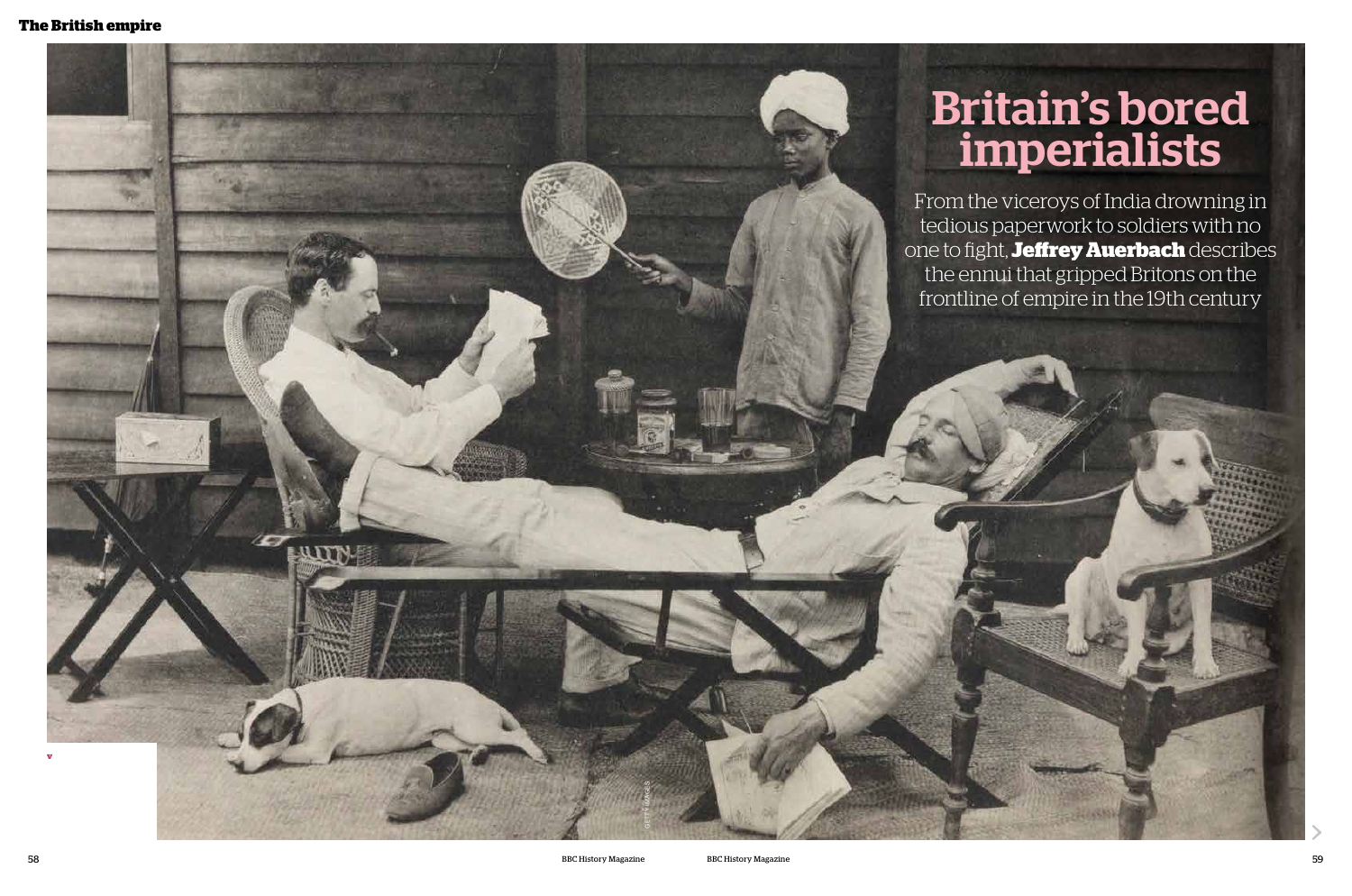

# Britain's bored imperialists



From the viceroys of India drowning in tedious paperwork to soldiers with no one to fight, **Jeffrey Auerbach** describes the ennui that gripped Britons on the frontline of empire in the 19th century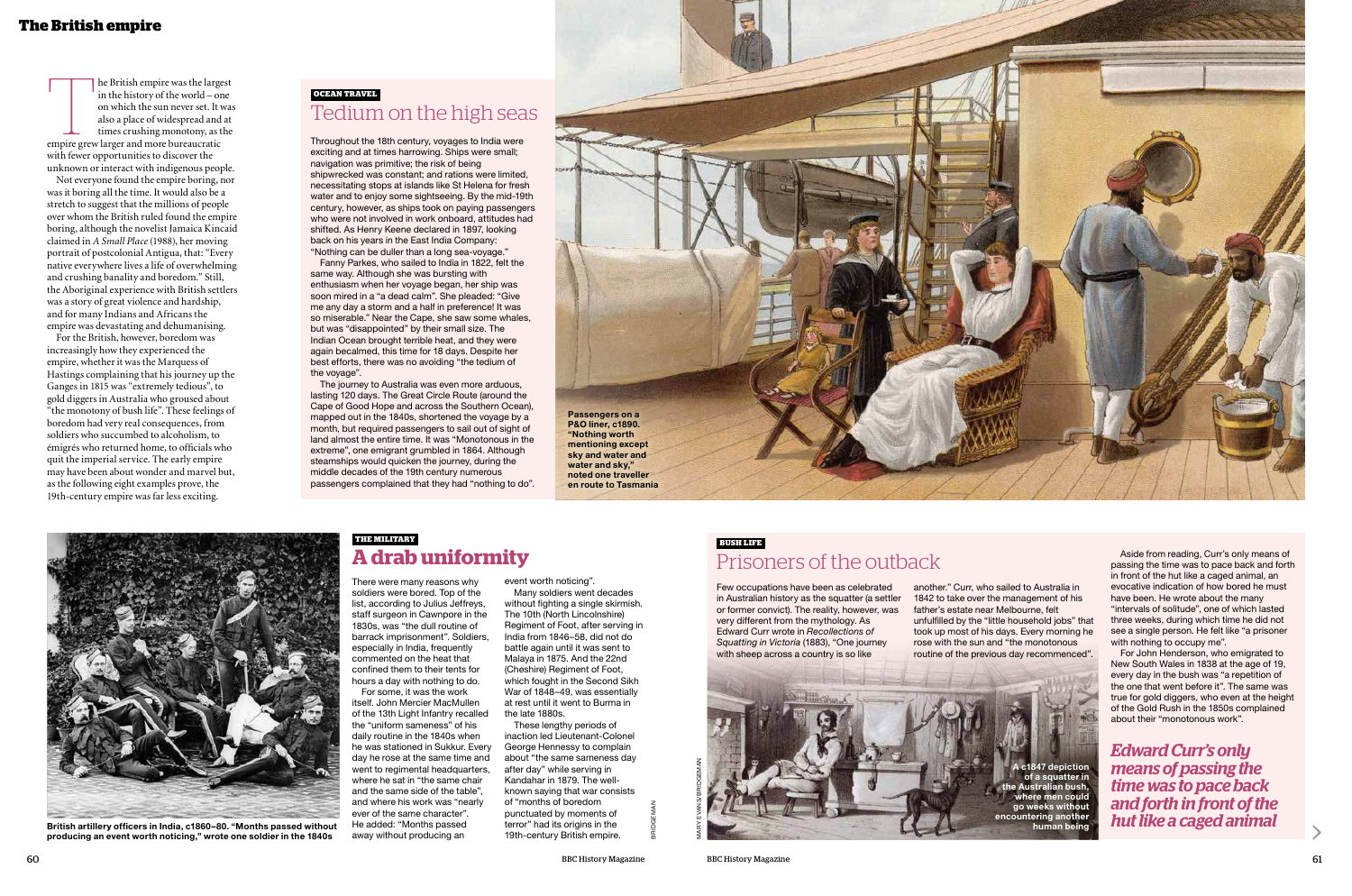#### **The British empire**

The British empire was the largest<br>
in the history of the world – one<br>
on which the sun never set. It was<br>
also a place of widespread and at<br>
times crushing monotony, as the<br>
empire grew larger and more bureaucratic in the history of the world – one on which the sun never set. It was also a place of widespread and at times crushing monotony, as the with fewer opportunities to discover the unknown or interact with indigenous people.

Not everyone found the empire boring, nor was it boring all the time. It would also be a stretch to suggest that the millions of people over whom the British ruled found the empire boring, although the novelist Jamaica Kincaid claimed in *A Small Place* (1988), her moving portrait of postcolonial Antigua, that: "Every native everywhere lives a life of overwhelming and crushing banality and boredom." Still, the Aboriginal experience with British settlers was a story of great violence and hardship, and for many Indians and Africans the empire was devastating and dehumanising.

For the British, however, boredom was increasingly how they experienced the empire, whether it was the Marquess of Hastings complaining that his journey up the Ganges in 1815 was "extremely tedious", to gold diggers in Australia who groused about "the monotony of bush life". These feelings of boredom had very real consequences, from soldiers who succumbed to alcoholism, to émigrés who returned home, to officials who quit the imperial service. The early empire may have been about wonder and marvel but, as the following eight examples prove, the 19th-century empire was far less exciting.

Throughout the 18th century, voyages to India were exciting and at times harrowing. Ships were small; navigation was primitive; the risk of being shipwrecked was constant; and rations were limited, necessitating stops at islands like St Helena for fresh water and to enjoy some sightseeing. By the mid-19th century, however, as ships took on paying passengers who were not involved in work onboard, attitudes had shifted. As Henry Keene declared in 1897, looking back on his years in the East India Company: "Nothing can be duller than a long sea-voyage."

Fanny Parkes, who sailed to India in 1822, felt the same way. Although she was bursting with enthusiasm when her voyage began, her ship was soon mired in a "a dead calm". She pleaded: "Give me any day a storm and a half in preference! It was so miserable." Near the Cape, she saw some whales, but was "disappointed" by their small size. The Indian Ocean brought terrible heat, and they were again becalmed, this time for 18 days. Despite her best efforts, there was no avoiding "the tedium of the voyage".



The journey to Australia was even more arduous, lasting 120 days. The Great Circle Route (around the Cape of Good Hope and across the Southern Ocean), mapped out in the 1840s, shortened the voyage by a month, but required passengers to sail out of sight of land almost the entire time. It was "Monotonous in the extreme", one emigrant grumbled in 1864. Although steamships would quicken the journey, during the middle decades of the 19th century numerous passengers complained that they had "nothing to do".

> There were many reasons why soldiers were bored. Top of the list, according to Julius Jeffreys, staff surgeon in Cawnpore in the 1830s, was "the dull routine of barrack imprisonment". Soldiers, especially in India, frequently commented on the heat that confined them to their tents for hours a day with nothing to do.

For some, it was the work itself. John Mercier MacMullen of the 13th Light Infantry recalled the "uniform sameness" of his daily routine in the 1840s when he was stationed in Sukkur. Every day he rose at the same time and went to regimental headquarters, where he sat in "the same chair and the same side of the table", and where his work was "nearly ever of the same character". He added: "Months passed away without producing an

event worth noticing".

Many soldiers went decades without fighting a single skirmish. The 10th (North Lincolnshire) Regiment of Foot, after serving in India from 1846–58, did not do battle again until it was sent to Malaya in 1875. And the 22nd (Cheshire) Regiment of Foot, which fought in the Second Sikh War of 1848–49, was essentially at rest until it went to Burma in the late 1880s.

These lengthy periods of inaction led Lieutenant-Colonel George Hennessy to complain about "the same sameness day after day" while serving in Kandahar in 1879. The wellknown saying that war consists of "months of boredom punctuated by moments of terror" had its origins in the 19th-century British empire.

## **OCEAN TRAVEL** Tedium on the high seas

#### **THE MILITARY A drab uniformity**



**British artillery officers in India, c1860–80. "Months passed without producing an event worth noticing," wrote one soldier in the 1840s**

*Edward Curr's only means of passing the time was to pace back and forth in front of the hut like a caged animal*

Few occupations have been as celebrated in Australian history as the squatter (a settler or former convict). The reality, however, was very different from the mythology. As Edward Curr wrote in *Recollections of Squatting in Victoria* (1883), "One journey with sheep across a country is so like

another." Curr, who sailed to Australia in 1842 to take over the management of his father's estate near Melbourne, felt unfulfilled by the "little household jobs" that took up most of his days. Every morning he rose with the sun and "the monotonous routine of the previous day recommenced".

Aside from reading, Curr's only means of passing the time was to pace back and forth in front of the hut like a caged animal, an evocative indication of how bored he must have been. He wrote about the many "intervals of solitude", one of which lasted three weeks, during which time he did not see a single person. He felt like "a prisoner with nothing to occupy me".

For John Henderson, who emigrated to New South Wales in 1838 at the age of 19, every day in the bush was "a repetition of the one that went before it". The same was true for gold diggers, who even at the height of the Gold Rush in the 1850s complained about their "monotonous work".

# **BUSH LIFE**

Prisoners of the outback